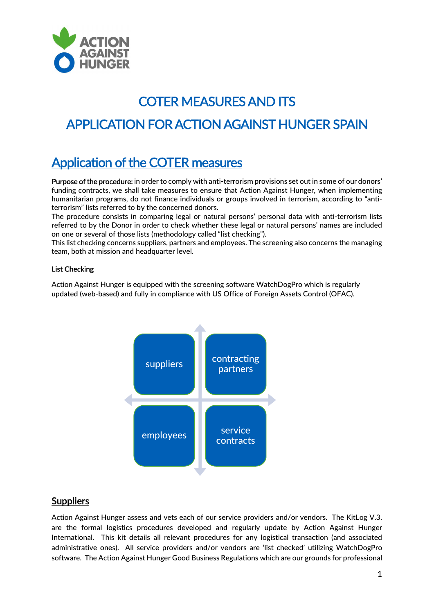

# COTER MEASURES AND ITS APPLICATION FOR ACTION AGAINST HUNGER SPAIN

# Application of the COTER measures

Purpose of the procedure: in order to comply with anti-terrorism provisions set out in some of our donors' funding contracts, we shall take measures to ensure that Action Against Hunger, when implementing humanitarian programs, do not finance individuals or groups involved in terrorism, according to "antiterrorism" lists referred to by the concerned donors.

The procedure consists in comparing legal or natural persons' personal data with anti-terrorism lists referred to by the Donor in order to check whether these legal or natural persons' names are included on one or several of those lists (methodology called "list checking").

This list checking concerns suppliers, partners and employees. The screening also concerns the managing team, both at mission and headquarter level.

#### List Checking

Action Against Hunger is equipped with the screening software WatchDogPro which is regularly updated (web-based) and fully in compliance with US Office of Foreign Assets Control (OFAC).



# **Suppliers**

Action Against Hunger assess and vets each of our service providers and/or vendors. The KitLog V.3. are the formal logistics procedures developed and regularly update by Action Against Hunger International. This kit details all relevant procedures for any logistical transaction (and associated administrative ones). All service providers and/or vendors are 'list checked' utilizing WatchDogPro software. The Action Against Hunger Good Business Regulations which are our grounds for professional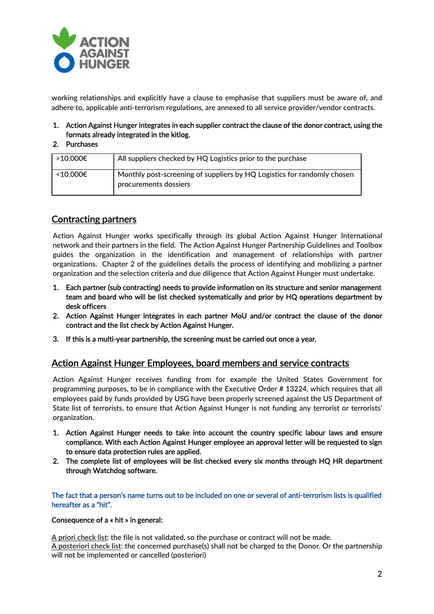

working relationships and explicitly have a clause to emphasise that suppliers must be aware of, and adhere to, applicable anti-terrorism regulations, are annexed to all service provider/vendor contracts.

1. Action Against Hunger integrates in each supplier contract the clause of the donor contract, using the formats already integrated in the kitlog.

#### 2. Purchases

| l >10.000€ | All suppliers checked by HQ Logistics prior to the purchase                                      |
|------------|--------------------------------------------------------------------------------------------------|
| <10.000€   | Monthly post-screening of suppliers by HQ Logistics for randomly chosen<br>procurements dossiers |

# Contracting partners

Action Against Hunger works specifically through its global Action Against Hunger International network and their partners in the field. The Action Against Hunger Partnership Guidelines and Toolbox guides the organization in the identification and management of relationships with partner organizations. Chapter 2 of the guidelines details the process of identifying and mobilizing a partner organization and the selection criteria and due diligence that Action Against Hunger must undertake.

- 1. Each partner (sub contracting) needs to provide information on its structure and senior management team and board who will be list checked systematically and prior by HQ operations department by desk officers
- 2. Action Against Hunger integrates in each partner MoU and/or contract the clause of the donor contract and the list check by Action Against Hunger.
- 3. If this is a multi-year partnership, the screening must be carried out once a year.

# Action Against Hunger Employees, board members and service contracts

Action Against Hunger receives funding from for example the United States Government for programming purposes, to be in compliance with the Executive Order # 13224, which requires that all employees paid by funds provided by USG have been properly screened against the US Department of State list of terrorists, to ensure that Action Against Hunger is not funding any terrorist or terrorists' organization.

- 1. Action Against Hunger needs to take into account the country specific labour laws and ensure compliance. With each Action Against Hunger employee an approval letter will be requested to sign to ensure data protection rules are applied.
- 2. The complete list of employees will be list checked every six months through HQ HR department through Watchdog software.

The fact that a person's name turns out to be included on one or several of anti-terrorism lists is qualified hereafter as a "hit".

#### Consequence of a « hit » in general:

A priori check list: the file is not validated, so the purchase or contract will not be made. A posteriori check list: the concerned purchase(s) shall not be charged to the Donor. Or the partnership will not be implemented or cancelled (posteriori)